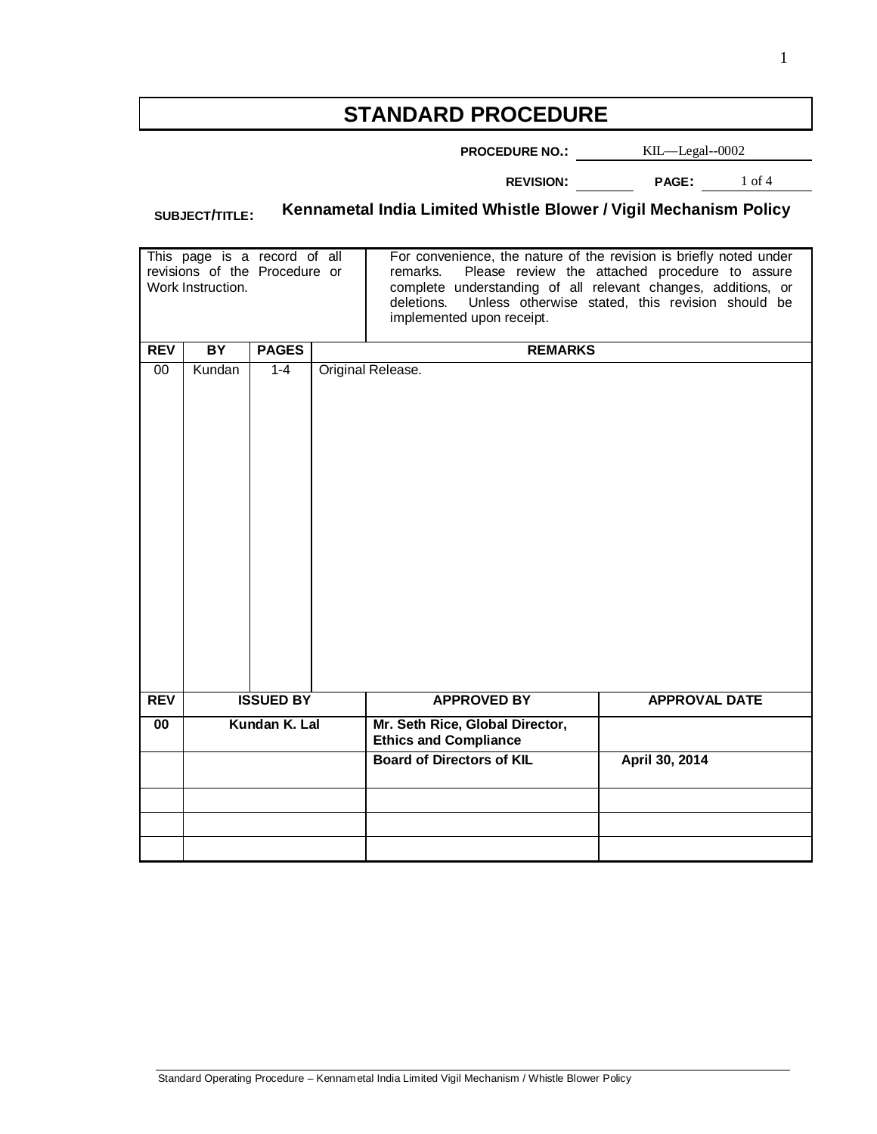# **STANDARD PROCEDURE**

**PROCEDURE NO.:** KIL—Legal--0002

**REVISION: PAGE:** 1 of 4

# **SUBJECT/TITLE: Kennametal India Limited Whistle Blower / Vigil Mechanism Policy**

| This page is a record of all<br>revisions of the Procedure or<br>Work Instruction. |                  |              |                   | For convenience, the nature of the revision is briefly noted under<br>Please review the attached procedure to assure<br>remarks.<br>complete understanding of all relevant changes, additions, or<br>Unless otherwise stated, this revision should be<br>deletions.<br>implemented upon receipt. |                      |  |
|------------------------------------------------------------------------------------|------------------|--------------|-------------------|--------------------------------------------------------------------------------------------------------------------------------------------------------------------------------------------------------------------------------------------------------------------------------------------------|----------------------|--|
| <b>REV</b>                                                                         | BY               | <b>PAGES</b> | <b>REMARKS</b>    |                                                                                                                                                                                                                                                                                                  |                      |  |
| 00                                                                                 | Kundan           | $1 - 4$      | Original Release. |                                                                                                                                                                                                                                                                                                  |                      |  |
|                                                                                    |                  |              |                   |                                                                                                                                                                                                                                                                                                  |                      |  |
| <b>REV</b>                                                                         | <b>ISSUED BY</b> |              |                   | <b>APPROVED BY</b>                                                                                                                                                                                                                                                                               | <b>APPROVAL DATE</b> |  |
| $\overline{00}$                                                                    | Kundan K. Lal    |              |                   | Mr. Seth Rice, Global Director,<br><b>Ethics and Compliance</b>                                                                                                                                                                                                                                  |                      |  |
|                                                                                    |                  |              |                   | <b>Board of Directors of KIL</b>                                                                                                                                                                                                                                                                 | April 30, 2014       |  |
|                                                                                    |                  |              |                   |                                                                                                                                                                                                                                                                                                  |                      |  |
|                                                                                    |                  |              |                   |                                                                                                                                                                                                                                                                                                  |                      |  |
|                                                                                    |                  |              |                   |                                                                                                                                                                                                                                                                                                  |                      |  |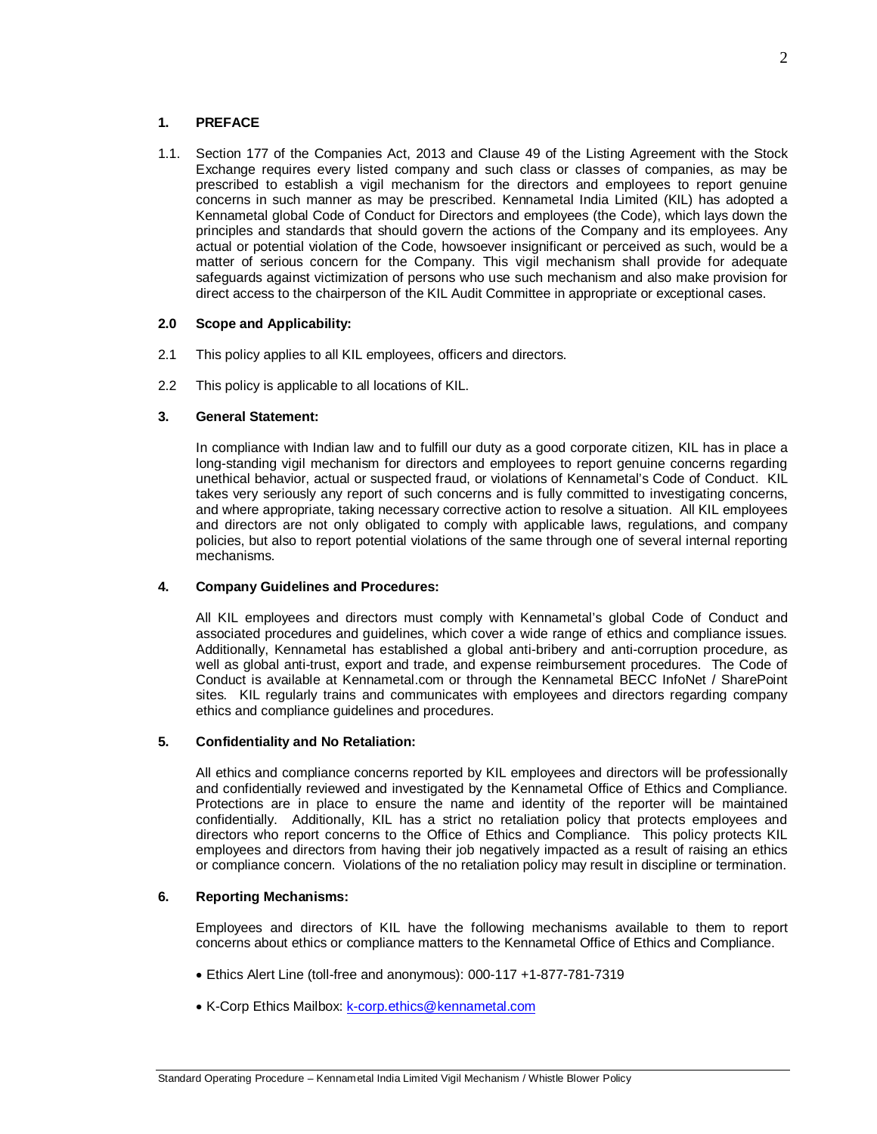# **1. PREFACE**

1.1. Section 177 of the Companies Act, 2013 and Clause 49 of the Listing Agreement with the Stock Exchange requires every listed company and such class or classes of companies, as may be prescribed to establish a vigil mechanism for the directors and employees to report genuine concerns in such manner as may be prescribed. Kennametal India Limited (KIL) has adopted a Kennametal global Code of Conduct for Directors and employees (the Code), which lays down the principles and standards that should govern the actions of the Company and its employees. Any actual or potential violation of the Code, howsoever insignificant or perceived as such, would be a matter of serious concern for the Company. This vigil mechanism shall provide for adequate safeguards against victimization of persons who use such mechanism and also make provision for direct access to the chairperson of the KIL Audit Committee in appropriate or exceptional cases.

## **2.0 Scope and Applicability:**

- 2.1 This policy applies to all KIL employees, officers and directors.
- 2.2 This policy is applicable to all locations of KIL.

### **3. General Statement:**

In compliance with Indian law and to fulfill our duty as a good corporate citizen, KIL has in place a long-standing vigil mechanism for directors and employees to report genuine concerns regarding unethical behavior, actual or suspected fraud, or violations of Kennametal's Code of Conduct. KIL takes very seriously any report of such concerns and is fully committed to investigating concerns, and where appropriate, taking necessary corrective action to resolve a situation. All KIL employees and directors are not only obligated to comply with applicable laws, regulations, and company policies, but also to report potential violations of the same through one of several internal reporting mechanisms.

#### **4. Company Guidelines and Procedures:**

All KIL employees and directors must comply with Kennametal's global Code of Conduct and associated procedures and guidelines, which cover a wide range of ethics and compliance issues. Additionally, Kennametal has established a global anti-bribery and anti-corruption procedure, as well as global anti-trust, export and trade, and expense reimbursement procedures. The Code of Conduct is available at Kennametal.com or through the Kennametal BECC InfoNet / SharePoint sites. KIL regularly trains and communicates with employees and directors regarding company ethics and compliance guidelines and procedures.

#### **5. Confidentiality and No Retaliation:**

All ethics and compliance concerns reported by KIL employees and directors will be professionally and confidentially reviewed and investigated by the Kennametal Office of Ethics and Compliance. Protections are in place to ensure the name and identity of the reporter will be maintained confidentially. Additionally, KIL has a strict no retaliation policy that protects employees and directors who report concerns to the Office of Ethics and Compliance. This policy protects KIL employees and directors from having their job negatively impacted as a result of raising an ethics or compliance concern. Violations of the no retaliation policy may result in discipline or termination.

#### **6. Reporting Mechanisms:**

Employees and directors of KIL have the following mechanisms available to them to report concerns about ethics or compliance matters to the Kennametal Office of Ethics and Compliance.

- Ethics Alert Line (toll-free and anonymous): 000-117 +1-877-781-7319
- K-Corp Ethics Mailbox: k-corp.ethics@kennametal.com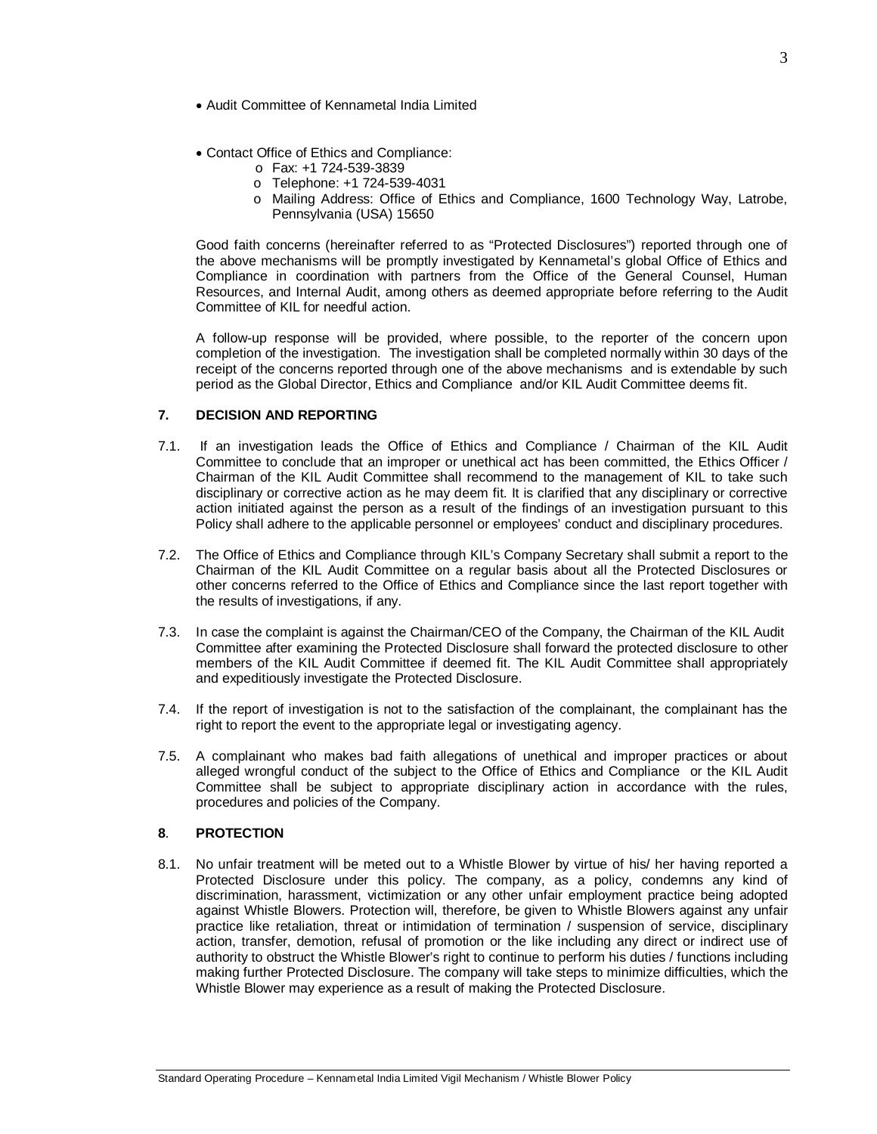- Audit Committee of Kennametal India Limited
- Contact Office of Ethics and Compliance:
	- o Fax: +1 724-539-3839
	- o Telephone: +1 724-539-4031
	- o Mailing Address: Office of Ethics and Compliance, 1600 Technology Way, Latrobe, Pennsylvania (USA) 15650

Good faith concerns (hereinafter referred to as "Protected Disclosures") reported through one of the above mechanisms will be promptly investigated by Kennametal's global Office of Ethics and Compliance in coordination with partners from the Office of the General Counsel, Human Resources, and Internal Audit, among others as deemed appropriate before referring to the Audit Committee of KIL for needful action.

A follow-up response will be provided, where possible, to the reporter of the concern upon completion of the investigation. The investigation shall be completed normally within 30 days of the receipt of the concerns reported through one of the above mechanisms and is extendable by such period as the Global Director, Ethics and Compliance and/or KIL Audit Committee deems fit.

#### **7. DECISION AND REPORTING**

- 7.1. If an investigation leads the Office of Ethics and Compliance / Chairman of the KIL Audit Committee to conclude that an improper or unethical act has been committed, the Ethics Officer / Chairman of the KIL Audit Committee shall recommend to the management of KIL to take such disciplinary or corrective action as he may deem fit. It is clarified that any disciplinary or corrective action initiated against the person as a result of the findings of an investigation pursuant to this Policy shall adhere to the applicable personnel or employees' conduct and disciplinary procedures.
- 7.2. The Office of Ethics and Compliance through KIL's Company Secretary shall submit a report to the Chairman of the KIL Audit Committee on a regular basis about all the Protected Disclosures or other concerns referred to the Office of Ethics and Compliance since the last report together with the results of investigations, if any.
- 7.3. In case the complaint is against the Chairman/CEO of the Company, the Chairman of the KIL Audit Committee after examining the Protected Disclosure shall forward the protected disclosure to other members of the KIL Audit Committee if deemed fit. The KIL Audit Committee shall appropriately and expeditiously investigate the Protected Disclosure.
- 7.4. If the report of investigation is not to the satisfaction of the complainant, the complainant has the right to report the event to the appropriate legal or investigating agency.
- 7.5. A complainant who makes bad faith allegations of unethical and improper practices or about alleged wrongful conduct of the subject to the Office of Ethics and Compliance or the KIL Audit Committee shall be subject to appropriate disciplinary action in accordance with the rules, procedures and policies of the Company.

#### **8**. **PROTECTION**

8.1. No unfair treatment will be meted out to a Whistle Blower by virtue of his/ her having reported a Protected Disclosure under this policy. The company, as a policy, condemns any kind of discrimination, harassment, victimization or any other unfair employment practice being adopted against Whistle Blowers. Protection will, therefore, be given to Whistle Blowers against any unfair practice like retaliation, threat or intimidation of termination / suspension of service, disciplinary action, transfer, demotion, refusal of promotion or the like including any direct or indirect use of authority to obstruct the Whistle Blower's right to continue to perform his duties / functions including making further Protected Disclosure. The company will take steps to minimize difficulties, which the Whistle Blower may experience as a result of making the Protected Disclosure.